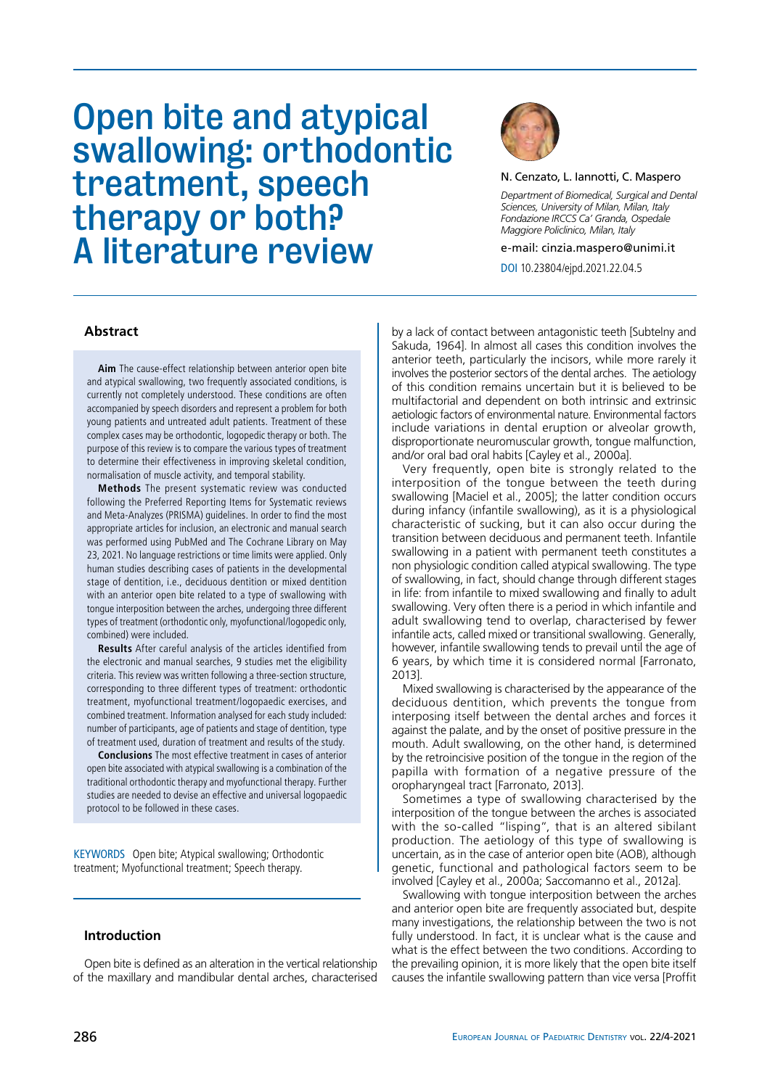# Open bite and atypical swallowing: orthodontic treatment, speech therapy or both? A literature review



N. Cenzato, L. Iannotti, C. Maspero

*Department of Biomedical, Surgical and Dental Sciences, University of Milan, Milan, Italy Fondazione IRCCS Ca' Granda, Ospedale Maggiore Policlinico, Milan, Italy*

e-mail: cinzia.maspero@unimi.it

DOI 10.23804/ejpd.2021.22.04.5

# **Abstract**

**Aim** The cause-effect relationship between anterior open bite and atypical swallowing, two frequently associated conditions, is currently not completely understood. These conditions are often accompanied by speech disorders and represent a problem for both young patients and untreated adult patients. Treatment of these complex cases may be orthodontic, logopedic therapy or both. The purpose of this review is to compare the various types of treatment to determine their effectiveness in improving skeletal condition, normalisation of muscle activity, and temporal stability.

**Methods** The present systematic review was conducted following the Preferred Reporting Items for Systematic reviews and Meta-Analyzes (PRISMA) guidelines. In order to find the most appropriate articles for inclusion, an electronic and manual search was performed using PubMed and The Cochrane Library on May 23, 2021. No language restrictions or time limits were applied. Only human studies describing cases of patients in the developmental stage of dentition, i.e., deciduous dentition or mixed dentition with an anterior open bite related to a type of swallowing with tongue interposition between the arches, undergoing three different types of treatment (orthodontic only, myofunctional/logopedic only, combined) were included.

**Results** After careful analysis of the articles identified from the electronic and manual searches, 9 studies met the eligibility criteria. This review was written following a three-section structure, corresponding to three different types of treatment: orthodontic treatment, myofunctional treatment/logopaedic exercises, and combined treatment. Information analysed for each study included: number of participants, age of patients and stage of dentition, type of treatment used, duration of treatment and results of the study.

**Conclusions** The most effective treatment in cases of anterior open bite associated with atypical swallowing is a combination of the traditional orthodontic therapy and myofunctional therapy. Further studies are needed to devise an effective and universal logopaedic protocol to be followed in these cases.

KEYWORDS Open bite; Atypical swallowing; Orthodontic treatment; Myofunctional treatment; Speech therapy.

## **Introduction**

Open bite is defined as an alteration in the vertical relationship of the maxillary and mandibular dental arches, characterised

by a lack of contact between antagonistic teeth [Subtelny and Sakuda, 1964]. In almost all cases this condition involves the anterior teeth, particularly the incisors, while more rarely it involves the posterior sectors of the dental arches. The aetiology of this condition remains uncertain but it is believed to be multifactorial and dependent on both intrinsic and extrinsic aetiologic factors of environmental nature. Environmental factors include variations in dental eruption or alveolar growth, disproportionate neuromuscular growth, tongue malfunction, and/or oral bad oral habits [Cayley et al., 2000a].

Very frequently, open bite is strongly related to the interposition of the tongue between the teeth during swallowing [Maciel et al., 2005]; the latter condition occurs during infancy (infantile swallowing), as it is a physiological characteristic of sucking, but it can also occur during the transition between deciduous and permanent teeth. Infantile swallowing in a patient with permanent teeth constitutes a non physiologic condition called atypical swallowing. The type of swallowing, in fact, should change through different stages in life: from infantile to mixed swallowing and finally to adult swallowing. Very often there is a period in which infantile and adult swallowing tend to overlap, characterised by fewer infantile acts, called mixed or transitional swallowing. Generally, however, infantile swallowing tends to prevail until the age of 6 years, by which time it is considered normal [Farronato, 2013].

Mixed swallowing is characterised by the appearance of the deciduous dentition, which prevents the tongue from interposing itself between the dental arches and forces it against the palate, and by the onset of positive pressure in the mouth. Adult swallowing, on the other hand, is determined by the retroincisive position of the tongue in the region of the papilla with formation of a negative pressure of the oropharyngeal tract [Farronato, 2013].

Sometimes a type of swallowing characterised by the interposition of the tongue between the arches is associated with the so-called "lisping", that is an altered sibilant production. The aetiology of this type of swallowing is uncertain, as in the case of anterior open bite (AOB), although genetic, functional and pathological factors seem to be involved [Cayley et al., 2000a; Saccomanno et al., 2012a].

Swallowing with tongue interposition between the arches and anterior open bite are frequently associated but, despite many investigations, the relationship between the two is not fully understood. In fact, it is unclear what is the cause and what is the effect between the two conditions. According to the prevailing opinion, it is more likely that the open bite itself causes the infantile swallowing pattern than vice versa [Proffit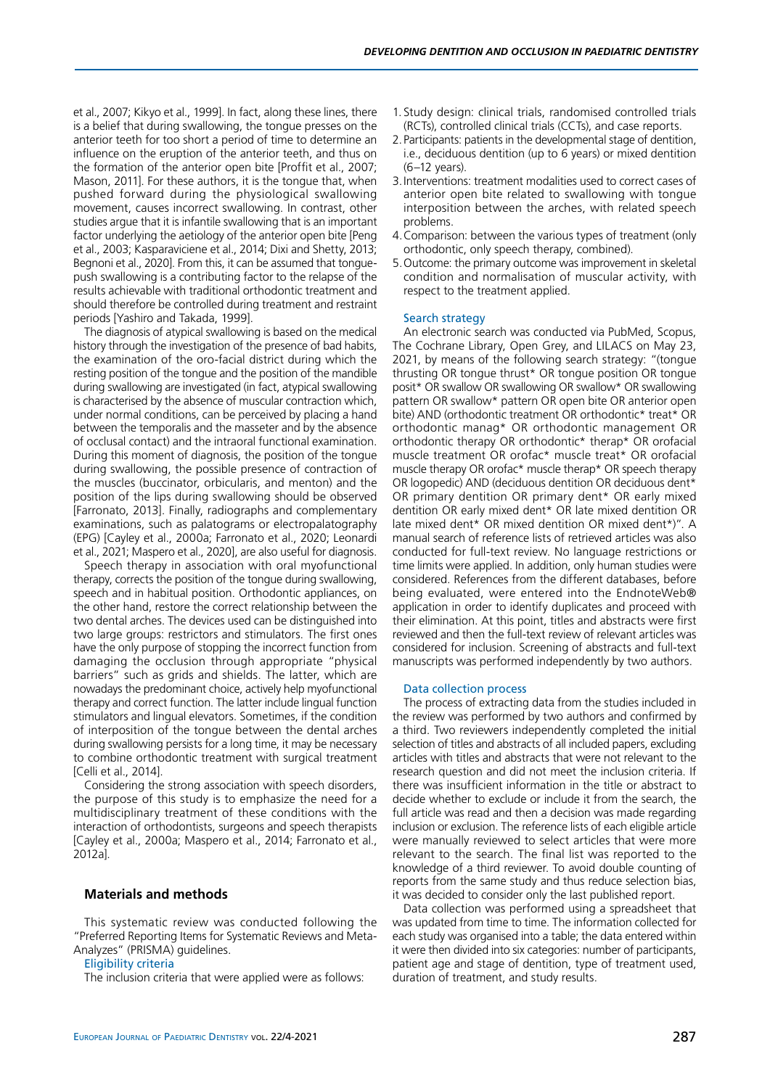et al., 2007; Kikyo et al., 1999]. In fact, along these lines, there is a belief that during swallowing, the tongue presses on the anterior teeth for too short a period of time to determine an influence on the eruption of the anterior teeth, and thus on the formation of the anterior open bite [Proffit et al., 2007; Mason, 2011]. For these authors, it is the tongue that, when pushed forward during the physiological swallowing movement, causes incorrect swallowing. In contrast, other studies arque that it is infantile swallowing that is an important factor underlying the aetiology of the anterior open bite [Peng et al., 2003; Kasparaviciene et al., 2014; Dixi and Shetty, 2013; Begnoni et al., 2020]. From this, it can be assumed that tonguepush swallowing is a contributing factor to the relapse of the results achievable with traditional orthodontic treatment and should therefore be controlled during treatment and restraint periods [Yashiro and Takada, 1999].

The diagnosis of atypical swallowing is based on the medical history through the investigation of the presence of bad habits, the examination of the oro-facial district during which the resting position of the tongue and the position of the mandible during swallowing are investigated (in fact, atypical swallowing is characterised by the absence of muscular contraction which, under normal conditions, can be perceived by placing a hand between the temporalis and the masseter and by the absence of occlusal contact) and the intraoral functional examination. During this moment of diagnosis, the position of the tongue during swallowing, the possible presence of contraction of the muscles (buccinator, orbicularis, and menton) and the position of the lips during swallowing should be observed [Farronato, 2013]. Finally, radiographs and complementary examinations, such as palatograms or electropalatography (EPG) [Cayley et al., 2000a; Farronato et al., 2020; Leonardi et al., 2021; Maspero et al., 2020], are also useful for diagnosis.

Speech therapy in association with oral myofunctional therapy, corrects the position of the tongue during swallowing, speech and in habitual position. Orthodontic appliances, on the other hand, restore the correct relationship between the two dental arches. The devices used can be distinguished into two large groups: restrictors and stimulators. The first ones have the only purpose of stopping the incorrect function from damaging the occlusion through appropriate "physical barriers" such as grids and shields. The latter, which are nowadays the predominant choice, actively help myofunctional therapy and correct function. The latter include lingual function stimulators and lingual elevators. Sometimes, if the condition of interposition of the tongue between the dental arches during swallowing persists for a long time, it may be necessary to combine orthodontic treatment with surgical treatment [Celli et al., 2014].

Considering the strong association with speech disorders, the purpose of this study is to emphasize the need for a multidisciplinary treatment of these conditions with the interaction of orthodontists, surgeons and speech therapists [Cayley et al., 2000a; Maspero et al., 2014; Farronato et al., 2012a].

## **Materials and methods**

This systematic review was conducted following the "Preferred Reporting Items for Systematic Reviews and Meta-Analyzes" (PRISMA) guidelines.

### Eligibility criteria

The inclusion criteria that were applied were as follows:

- 1. Study design: clinical trials, randomised controlled trials (RCTs), controlled clinical trials (CCTs), and case reports.
- 2.Participants: patients in the developmental stage of dentition, i.e., deciduous dentition (up to 6 years) or mixed dentition (6–12 years).
- 3.Interventions: treatment modalities used to correct cases of anterior open bite related to swallowing with tongue interposition between the arches, with related speech problems.
- 4.Comparison: between the various types of treatment (only orthodontic, only speech therapy, combined).
- 5.Outcome: the primary outcome was improvement in skeletal condition and normalisation of muscular activity, with respect to the treatment applied.

#### Search strategy

An electronic search was conducted via PubMed, Scopus, The Cochrane Library, Open Grey, and LILACS on May 23, 2021, by means of the following search strategy: "(tongue thrusting OR tongue thrust\* OR tongue position OR tongue posit\* OR swallow OR swallowing OR swallow\* OR swallowing pattern OR swallow\* pattern OR open bite OR anterior open bite) AND (orthodontic treatment OR orthodontic\* treat\* OR orthodontic manag\* OR orthodontic management OR orthodontic therapy OR orthodontic\* therap\* OR orofacial muscle treatment OR orofac\* muscle treat\* OR orofacial muscle therapy OR orofac\* muscle therap\* OR speech therapy OR logopedic) AND (deciduous dentition OR deciduous dent\* OR primary dentition OR primary dent\* OR early mixed dentition OR early mixed dent\* OR late mixed dentition OR late mixed dent\* OR mixed dentition OR mixed dent\*)". A manual search of reference lists of retrieved articles was also conducted for full-text review. No language restrictions or time limits were applied. In addition, only human studies were considered. References from the different databases, before being evaluated, were entered into the EndnoteWeb® application in order to identify duplicates and proceed with their elimination. At this point, titles and abstracts were first reviewed and then the full-text review of relevant articles was considered for inclusion. Screening of abstracts and full-text manuscripts was performed independently by two authors.

#### Data collection process

The process of extracting data from the studies included in the review was performed by two authors and confirmed by a third. Two reviewers independently completed the initial selection of titles and abstracts of all included papers, excluding articles with titles and abstracts that were not relevant to the research question and did not meet the inclusion criteria. If there was insufficient information in the title or abstract to decide whether to exclude or include it from the search, the full article was read and then a decision was made regarding inclusion or exclusion. The reference lists of each eligible article were manually reviewed to select articles that were more relevant to the search. The final list was reported to the knowledge of a third reviewer. To avoid double counting of reports from the same study and thus reduce selection bias, it was decided to consider only the last published report.

Data collection was performed using a spreadsheet that was updated from time to time. The information collected for each study was organised into a table; the data entered within it were then divided into six categories: number of participants, patient age and stage of dentition, type of treatment used, duration of treatment, and study results.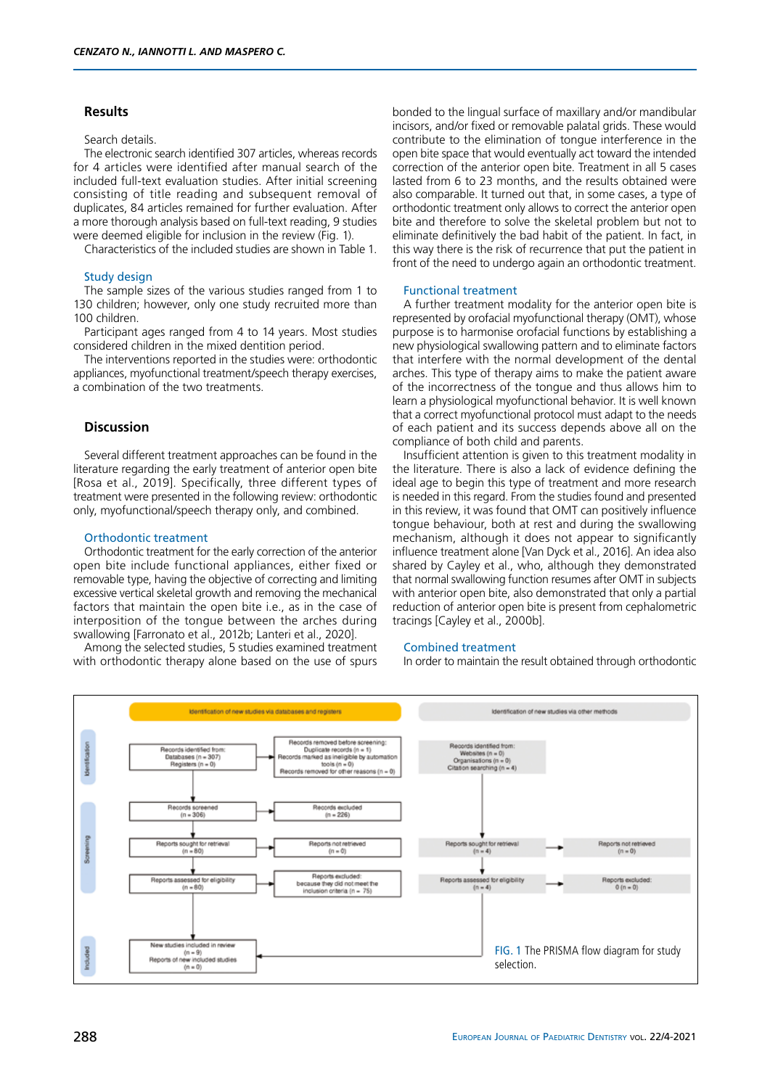### **Results**

#### Search details

The electronic search identified 307 articles, whereas records for 4 articles were identified after manual search of the included full-text evaluation studies. After initial screening consisting of title reading and subsequent removal of duplicates, 84 articles remained for further evaluation. After a more thorough analysis based on full-text reading, 9 studies were deemed eligible for inclusion in the review (Fig. 1).

Characteristics of the included studies are shown in Table 1.

## Study design

The sample sizes of the various studies ranged from 1 to 130 children; however, only one study recruited more than 100 children.

Participant ages ranged from 4 to 14 years. Most studies considered children in the mixed dentition period.

The interventions reported in the studies were: orthodontic appliances, myofunctional treatment/speech therapy exercises, a combination of the two treatments.

#### **Discussion**

Several different treatment approaches can be found in the literature regarding the early treatment of anterior open bite [Rosa et al., 2019]. Specifically, three different types of treatment were presented in the following review: orthodontic only, myofunctional/speech therapy only, and combined.

## Orthodontic treatment

Orthodontic treatment for the early correction of the anterior open bite include functional appliances, either fixed or removable type, having the objective of correcting and limiting excessive vertical skeletal growth and removing the mechanical factors that maintain the open bite i.e., as in the case of interposition of the tongue between the arches during swallowing [Farronato et al., 2012b; Lanteri et al., 2020].

Among the selected studies, 5 studies examined treatment with orthodontic therapy alone based on the use of spurs

bonded to the lingual surface of maxillary and/or mandibular incisors, and/or fixed or removable palatal grids. These would contribute to the elimination of tongue interference in the open bite space that would eventually act toward the intended correction of the anterior open bite. Treatment in all 5 cases lasted from 6 to 23 months, and the results obtained were also comparable. It turned out that, in some cases, a type of orthodontic treatment only allows to correct the anterior open bite and therefore to solve the skeletal problem but not to eliminate definitively the bad habit of the patient. In fact, in this way there is the risk of recurrence that put the patient in front of the need to undergo again an orthodontic treatment.

### Functional treatment

A further treatment modality for the anterior open bite is represented by orofacial myofunctional therapy (OMT), whose purpose is to harmonise orofacial functions by establishing a new physiological swallowing pattern and to eliminate factors that interfere with the normal development of the dental arches. This type of therapy aims to make the patient aware of the incorrectness of the tongue and thus allows him to learn a physiological myofunctional behavior. It is well known that a correct myofunctional protocol must adapt to the needs of each patient and its success depends above all on the compliance of both child and parents.

Insufficient attention is given to this treatment modality in the literature. There is also a lack of evidence defining the ideal age to begin this type of treatment and more research is needed in this regard. From the studies found and presented in this review, it was found that OMT can positively influence tongue behaviour, both at rest and during the swallowing mechanism, although it does not appear to significantly influence treatment alone [Van Dyck et al., 2016]. An idea also shared by Cayley et al., who, although they demonstrated that normal swallowing function resumes after OMT in subjects with anterior open bite, also demonstrated that only a partial reduction of anterior open bite is present from cephalometric tracings [Cayley et al., 2000b].

#### Combined treatment

In order to maintain the result obtained through orthodontic

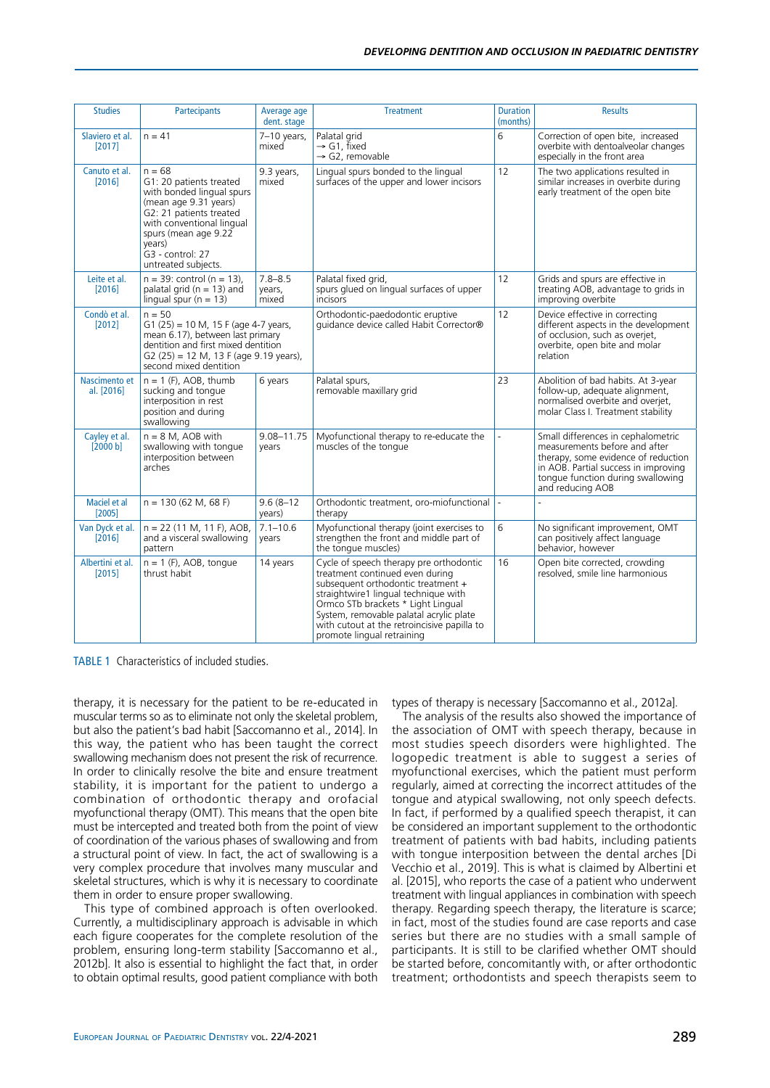| <b>Studies</b>              | Partecipants                                                                                                                                                                                                                   | Average age<br>dent. stage     | <b>Treatment</b>                                                                                                                                                                                                                                                                                                       | <b>Duration</b><br>(months) | <b>Results</b>                                                                                                                                                                                              |
|-----------------------------|--------------------------------------------------------------------------------------------------------------------------------------------------------------------------------------------------------------------------------|--------------------------------|------------------------------------------------------------------------------------------------------------------------------------------------------------------------------------------------------------------------------------------------------------------------------------------------------------------------|-----------------------------|-------------------------------------------------------------------------------------------------------------------------------------------------------------------------------------------------------------|
| Slaviero et al.<br>[2017]   | $n = 41$                                                                                                                                                                                                                       | $7-10$ years,<br>mixed         | Palatal grid<br>$\rightarrow$ G1, fixed<br>$\rightarrow$ G2, removable                                                                                                                                                                                                                                                 | 6                           | Correction of open bite, increased<br>overbite with dentoalveolar changes<br>especially in the front area                                                                                                   |
| Canuto et al.<br>[2016]     | $n = 68$<br>G1: 20 patients treated<br>with bonded lingual spurs<br>(mean age 9.31 years)<br>G2: 21 patients treated<br>with conventional lingual<br>spurs (mean age 9.22<br>years)<br>G3 - control: 27<br>untreated subjects. | 9.3 years,<br>mixed            | Lingual spurs bonded to the lingual<br>surfaces of the upper and lower incisors                                                                                                                                                                                                                                        | 12                          | The two applications resulted in<br>similar increases in overbite during<br>early treatment of the open bite                                                                                                |
| Leite et al.<br>[2016]      | $n = 39$ : control ( $n = 13$ ),<br>palatal grid ( $n = 13$ ) and<br>lingual spur ( $n = 13$ )                                                                                                                                 | $7.8 - 8.5$<br>years,<br>mixed | Palatal fixed grid,<br>spurs glued on lingual surfaces of upper<br>incisors                                                                                                                                                                                                                                            | 12                          | Grids and spurs are effective in<br>treating AOB, advantage to grids in<br>improving overbite                                                                                                               |
| Condò et al.<br>[2012]      | $n = 50$<br>$G1 (25) = 10 M$ , 15 F (age 4-7 years,<br>mean 6.17), between last primary<br>dentition and first mixed dentition<br>$G2(25) = 12 M$ , 13 F (age 9.19 years),<br>second mixed dentition                           |                                | Orthodontic-paedodontic eruptive<br>quidance device called Habit Corrector®                                                                                                                                                                                                                                            | 12                          | Device effective in correcting<br>different aspects in the development<br>of occlusion, such as overjet,<br>overbite, open bite and molar<br>relation                                                       |
| Nascimento et<br>al. [2016] | $n = 1$ (F), AOB, thumb<br>sucking and tonque<br>interposition in rest<br>position and during<br>swallowing                                                                                                                    | 6 years                        | Palatal spurs,<br>removable maxillary grid                                                                                                                                                                                                                                                                             | 23                          | Abolition of bad habits. At 3-year<br>follow-up, adequate alignment,<br>normalised overbite and overjet,<br>molar Class I. Treatment stability                                                              |
| Cayley et al.<br>[2000 b]   | $n = 8$ M, AOB with<br>swallowing with tonque<br>interposition between<br>arches                                                                                                                                               | 9.08-11.75<br>vears            | Myofunctional therapy to re-educate the<br>muscles of the tonque                                                                                                                                                                                                                                                       | L.                          | Small differences in cephalometric<br>measurements before and after<br>therapy, some evidence of reduction<br>in AOB. Partial success in improving<br>tonque function during swallowing<br>and reducing AOB |
| Maciel et al<br>[2005]      | $n = 130 (62 M, 68 F)$                                                                                                                                                                                                         | $9.6(8-12)$<br>years)          | Orthodontic treatment, oro-miofunctional<br>therapy                                                                                                                                                                                                                                                                    |                             |                                                                                                                                                                                                             |
| Van Dyck et al.<br>[2016]   | $n = 22$ (11 M, 11 F), AOB,<br>and a visceral swallowing<br>pattern                                                                                                                                                            | $7.1 - 10.6$<br>vears          | Myofunctional therapy (joint exercises to<br>strengthen the front and middle part of<br>the tongue muscles)                                                                                                                                                                                                            | 6                           | No significant improvement, OMT<br>can positively affect language<br>behavior, however                                                                                                                      |
| Albertini et al.<br>[2015]  | $n = 1$ (F), AOB, tonque<br>thrust habit                                                                                                                                                                                       | 14 years                       | Cycle of speech therapy pre orthodontic<br>treatment continued even during<br>subsequent orthodontic treatment +<br>straightwire1 lingual technique with<br>Ormco STb brackets * Light Lingual<br>System, removable palatal acrylic plate<br>with cutout at the retroincisive papilla to<br>promote lingual retraining | 16                          | Open bite corrected, crowding<br>resolved, smile line harmonious                                                                                                                                            |

TABLE 1 Characteristics of included studies.

therapy, it is necessary for the patient to be re-educated in muscular terms so as to eliminate not only the skeletal problem, but also the patient's bad habit [Saccomanno et al., 2014]. In this way, the patient who has been taught the correct swallowing mechanism does not present the risk of recurrence. In order to clinically resolve the bite and ensure treatment stability, it is important for the patient to undergo a combination of orthodontic therapy and orofacial myofunctional therapy (OMT). This means that the open bite must be intercepted and treated both from the point of view of coordination of the various phases of swallowing and from a structural point of view. In fact, the act of swallowing is a very complex procedure that involves many muscular and skeletal structures, which is why it is necessary to coordinate them in order to ensure proper swallowing.

This type of combined approach is often overlooked. Currently, a multidisciplinary approach is advisable in which each figure cooperates for the complete resolution of the problem, ensuring long-term stability [Saccomanno et al., 2012b]. It also is essential to highlight the fact that, in order to obtain optimal results, good patient compliance with both types of therapy is necessary [Saccomanno et al., 2012a].

The analysis of the results also showed the importance of the association of OMT with speech therapy, because in most studies speech disorders were highlighted. The logopedic treatment is able to suggest a series of myofunctional exercises, which the patient must perform regularly, aimed at correcting the incorrect attitudes of the tongue and atypical swallowing, not only speech defects. In fact, if performed by a qualified speech therapist, it can be considered an important supplement to the orthodontic treatment of patients with bad habits, including patients with tongue interposition between the dental arches [Di Vecchio et al., 2019]. This is what is claimed by Albertini et al. [2015], who reports the case of a patient who underwent treatment with lingual appliances in combination with speech therapy. Regarding speech therapy, the literature is scarce; in fact, most of the studies found are case reports and case series but there are no studies with a small sample of participants. It is still to be clarified whether OMT should be started before, concomitantly with, or after orthodontic treatment; orthodontists and speech therapists seem to